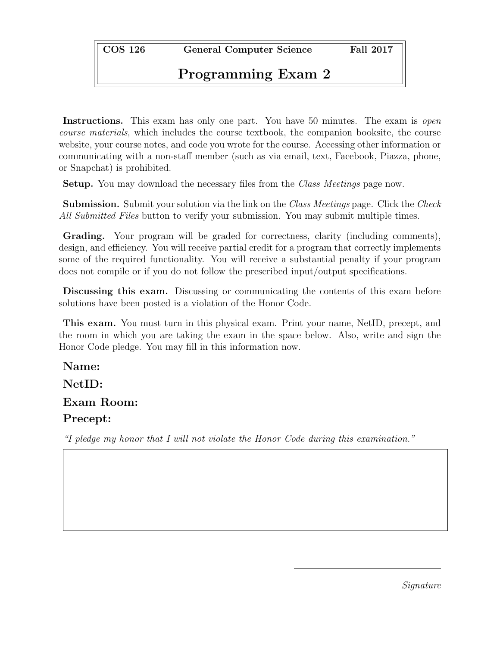COS 126 General Computer Science Fall 2017

## Programming Exam 2

Instructions. This exam has only one part. You have 50 minutes. The exam is *open* course materials, which includes the course textbook, the companion booksite, the course website, your course notes, and code you wrote for the course. Accessing other information or communicating with a non-staff member (such as via email, text, Facebook, Piazza, phone, or Snapchat) is prohibited.

Setup. You may download the necessary files from the Class Meetings page now.

**Submission.** Submit your solution via the link on the *Class Meetings* page. Click the *Check* All Submitted Files button to verify your submission. You may submit multiple times.

Grading. Your program will be graded for correctness, clarity (including comments), design, and efficiency. You will receive partial credit for a program that correctly implements some of the required functionality. You will receive a substantial penalty if your program does not compile or if you do not follow the prescribed input/output specifications.

Discussing this exam. Discussing or communicating the contents of this exam before solutions have been posted is a violation of the Honor Code.

This exam. You must turn in this physical exam. Print your name, NetID, precept, and the room in which you are taking the exam in the space below. Also, write and sign the Honor Code pledge. You may fill in this information now.

Name: NetID:

Exam Room:

## Precept:

"I pledge my honor that I will not violate the Honor Code during this examination."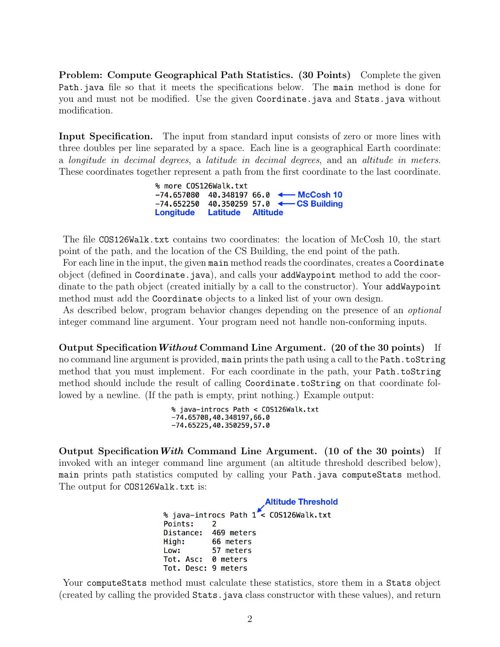Problem: Compute Geographical Path Statistics. (30 Points) Complete the given Path.java file so that it meets the specifications below. The main method is done for you and must not be modified. Use the given Coordinate.java and Stats.java without modification.

Input Specification. The input from standard input consists of zero or more lines with three doubles per line separated by a space. Each line is a geographical Earth coordinate: a longitude in decimal degrees, a latitude in decimal degrees, and an altitude in meters. These coordinates together represent a path from the first coordinate to the last coordinate.

> % more COS126Walk.txt -74.657080 40.348197 66.0 ← McCosh 10  $-74.652250$  40.350259 57.0  $\leftarrow$ -CS Building **Longitude** Latitude **Altitude**

The file COS126Walk.txt contains two coordinates: the location of McCosh 10, the start point of the path, and the location of the CS Building, the end point of the path.

For each line in the input, the given main method reads the coordinates, creates a Coordinate object (defined in Coordinate.java), and calls your addWaypoint method to add the coordinate to the path object (created initially by a call to the constructor). Your addWaypoint method must add the Coordinate objects to a linked list of your own design.

As described below, program behavior changes depending on the presence of an optional integer command line argument. Your program need not handle non-conforming inputs.

Output SpecificationWithout Command Line Argument. (20 of the 30 points) If no command line argument is provided, main prints the path using a call to the Path.toString method that you must implement. For each coordinate in the path, your Path.toString method should include the result of calling Coordinate.toString on that coordinate followed by a newline. (If the path is empty, print nothing.) Example output:

```
% java-introcs Path < COS126Walk.txt
-74.65708, 40.348197, 66.0-74.65225, 40.350259, 57.0
```
Output Specification With Command Line Argument. (10 of the 30 points) If invoked with an integer command line argument (an altitude threshold described below), main prints path statistics computed by calling your Path.java computeStats method. The output for COS126Walk.txt is:

```
Altitude Threshold
% java-introcs Path 1 \times COS126Walk.txt
Points:
            \overline{2}Distance:
            469 meters
High:
            66 meters
Low:
            57 meters
            0 meters
Tot. Asc:
Tot. Desc: 9 meters
```
Your computeStats method must calculate these statistics, store them in a Stats object (created by calling the provided Stats.java class constructor with these values), and return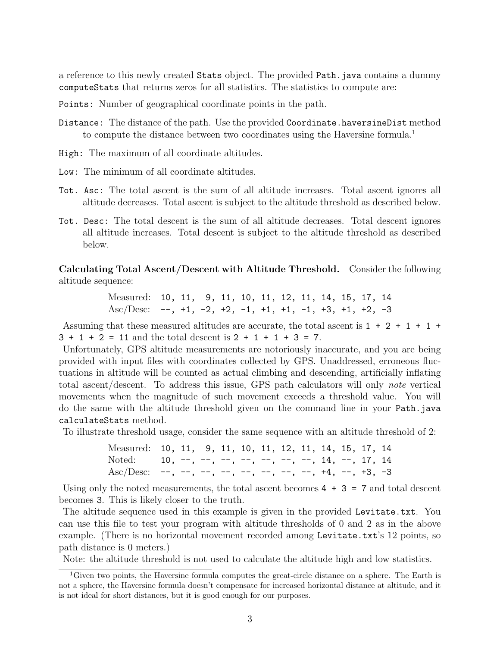a reference to this newly created Stats object. The provided Path.java contains a dummy computeStats that returns zeros for all statistics. The statistics to compute are:

Points: Number of geographical coordinate points in the path.

- Distance: The distance of the path. Use the provided Coordinate.haversineDist method to compute the distance between two coordinates using the Haversine formula.<sup>1</sup>
- High: The maximum of all coordinate altitudes.
- Low: The minimum of all coordinate altitudes.
- Tot. Asc: The total ascent is the sum of all altitude increases. Total ascent ignores all altitude decreases. Total ascent is subject to the altitude threshold as described below.
- Tot. Desc: The total descent is the sum of all altitude decreases. Total descent ignores all altitude increases. Total descent is subject to the altitude threshold as described below.

Calculating Total Ascent/Descent with Altitude Threshold. Consider the following altitude sequence:

> Measured: 10, 11, 9, 11, 10, 11, 12, 11, 14, 15, 17, 14 Asc/Desc:  $-$ ,  $+1$ ,  $-2$ ,  $+2$ ,  $-1$ ,  $+1$ ,  $+1$ ,  $-1$ ,  $+3$ ,  $+1$ ,  $+2$ ,  $-3$

Assuming that these measured altitudes are accurate, the total ascent is  $1 + 2 + 1 + 1 +$  $3 + 1 + 2 = 11$  and the total descent is  $2 + 1 + 1 + 3 = 7$ .

Unfortunately, GPS altitude measurements are notoriously inaccurate, and you are being provided with input files with coordinates collected by GPS. Unaddressed, erroneous fluctuations in altitude will be counted as actual climbing and descending, artificially inflating total ascent/descent. To address this issue, GPS path calculators will only note vertical movements when the magnitude of such movement exceeds a threshold value. You will do the same with the altitude threshold given on the command line in your Path.java calculateStats method.

To illustrate threshold usage, consider the same sequence with an altitude threshold of 2:

Measured: 10, 11, 9, 11, 10, 11, 12, 11, 14, 15, 17, 14 Noted: 10, --, --, --, --, --, --, --, 14, --, 17, 14 Asc/Desc: --, --, --, --, --, --, --, --, +4, --, +3, -3

Using only the noted measurements, the total ascent becomes  $4 + 3 = 7$  and total descent becomes 3. This is likely closer to the truth.

The altitude sequence used in this example is given in the provided Levitate.txt. You can use this file to test your program with altitude thresholds of 0 and 2 as in the above example. (There is no horizontal movement recorded among Levitate.txt's 12 points, so path distance is 0 meters.)

Note: the altitude threshold is not used to calculate the altitude high and low statistics.

<sup>&</sup>lt;sup>1</sup>Given two points, the Haversine formula computes the great-circle distance on a sphere. The Earth is not a sphere, the Haversine formula doesn't compensate for increased horizontal distance at altitude, and it is not ideal for short distances, but it is good enough for our purposes.